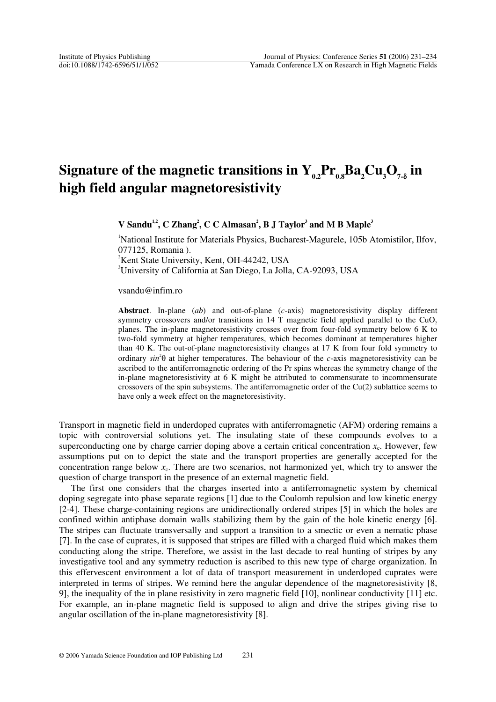## ${\bf Signature\ of\ the\ magnetic\ transitions\ in\ Y}_{_{0.2}}{\bf Pr}_{_{0.8}}{\bf Ba}_{_{2}}{\bf Cu}_{_{3}}{\bf O}_{_{7\text{-}\delta}}\ {\bf in\ }$ **high field angular magnetoresistivity**

**V** Sandu<sup>1,2</sup>, C Zhang<sup>2</sup>, C C Almasan<sup>2</sup>, B J Taylor<sup>3</sup> and M B Maple<sup>3</sup>

1 National Institute for Materials Physics, Bucharest-Magurele, 105b Atomistilor, Ilfov, 077125, Romania ). <sup>2</sup>Kent State University, Kent, OH-44242, USA 3 University of California at San Diego, La Jolla, CA-92093, USA

vsandu@infim.ro

**Abstract**. In-plane (*ab*) and out-of-plane (*c*-axis) magnetoresistivity display different symmetry crossovers and/or transitions in  $14$  T magnetic field applied parallel to the CuO<sub>2</sub> planes. The in-plane magnetoresistivity crosses over from four-fold symmetry below 6 K to two-fold symmetry at higher temperatures, which becomes dominant at temperatures higher than 40 K. The out-of-plane magnetoresistivity changes at 17 K from four fold symmetry to ordinary  $sin^2\theta$  at higher temperatures. The behaviour of the *c*-axis magnetoresistivity can be ascribed to the antiferromagnetic ordering of the Pr spins whereas the symmetry change of the in-plane magnetoresistivity at 6 K might be attributed to commensurate to incommensurate crossovers of the spin subsystems. The antiferromagnetic order of the  $Cu(2)$  sublattice seems to have only a week effect on the magnetoresistivity.

Transport in magnetic field in underdoped cuprates with antiferromagnetic (AFM) ordering remains a topic with controversial solutions yet. The insulating state of these compounds evolves to a superconducting one by charge carrier doping above a certain critical concentration  $x_c$ . However, few assumptions put on to depict the state and the transport properties are generally accepted for the concentration range below  $x_c$ . There are two scenarios, not harmonized yet, which try to answer the question of charge transport in the presence of an external magnetic field.

The first one considers that the charges inserted into a antiferromagnetic system by chemical doping segregate into phase separate regions [1] due to the Coulomb repulsion and low kinetic energy [2-4]. These charge-containing regions are unidirectionally ordered stripes [5] in which the holes are confined within antiphase domain walls stabilizing them by the gain of the hole kinetic energy [6]. The stripes can fluctuate transversally and support a transition to a smectic or even a nematic phase [7]. In the case of cuprates, it is supposed that stripes are filled with a charged fluid which makes them conducting along the stripe. Therefore, we assist in the last decade to real hunting of stripes by any investigative tool and any symmetry reduction is ascribed to this new type of charge organization. In this effervescent environment a lot of data of transport measurement in underdoped cuprates were interpreted in terms of stripes. We remind here the angular dependence of the magnetoresistivity [8, 9], the inequality of the in plane resistivity in zero magnetic field [10], nonlinear conductivity [11] etc. For example, an in-plane magnetic field is supposed to align and drive the stripes giving rise to angular oscillation of the in-plane magnetoresistivity [8].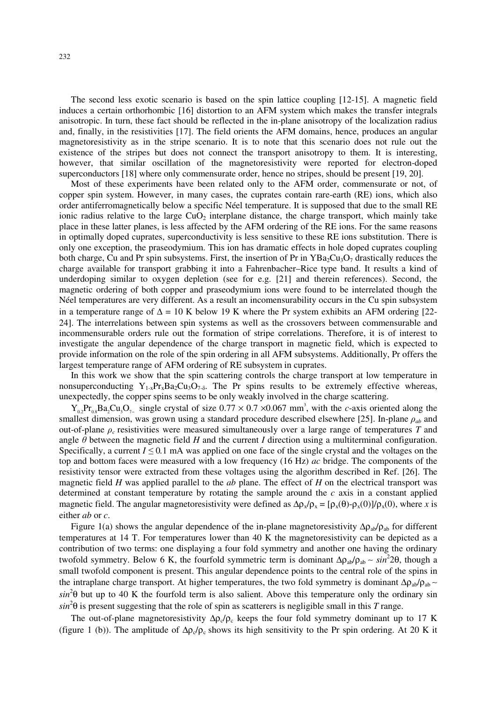The second less exotic scenario is based on the spin lattice coupling [12-15]. A magnetic field induces a certain orthorhombic [16] distortion to an AFM system which makes the transfer integrals anisotropic. In turn, these fact should be reflected in the in-plane anisotropy of the localization radius and, finally, in the resistivities [17]. The field orients the AFM domains, hence, produces an angular magnetoresistivity as in the stripe scenario. It is to note that this scenario does not rule out the existence of the stripes but does not connect the transport anisotropy to them. It is interesting, however, that similar oscillation of the magnetoresistivity were reported for electron-doped superconductors [18] where only commensurate order, hence no stripes, should be present [19, 20].

Most of these experiments have been related only to the AFM order, commensurate or not, of copper spin system. However, in many cases, the cuprates contain rare-earth (RE) ions, which also order antiferromagnetically below a specific Néel temperature. It is supposed that due to the small RE ionic radius relative to the large  $CuO<sub>2</sub>$  interplane distance, the charge transport, which mainly take place in these latter planes, is less affected by the AFM ordering of the RE ions. For the same reasons in optimally doped cuprates, superconductivity is less sensitive to these RE ions substitution. There is only one exception, the praseodymium. This ion has dramatic effects in hole doped cuprates coupling both charge, Cu and Pr spin subsystems. First, the insertion of Pr in  $YBa_2Cu_3O_7$  drastically reduces the charge available for transport grabbing it into a Fahrenbacher–Rice type band. It results a kind of underdoping similar to oxygen depletion (see for e.g. [21] and therein references). Second, the magnetic ordering of both copper and praseodymium ions were found to be interrelated though the Néel temperatures are very different. As a result an incomensurability occurs in the Cu spin subsystem in a temperature range of  $\Delta = 10$  K below 19 K where the Pr system exhibits an AFM ordering [22-24]. The interrelations between spin systems as well as the crossovers between commensurable and incommensurable orders rule out the formation of stripe correlations. Therefore, it is of interest to investigate the angular dependence of the charge transport in magnetic field, which is expected to provide information on the role of the spin ordering in all AFM subsystems. Additionally, Pr offers the largest temperature range of AFM ordering of RE subsystem in cuprates.

In this work we show that the spin scattering controls the charge transport at low temperature in nonsuperconducting  $Y_{1-x}P_{1x}Ba_2Cu_3O_{7-\delta}$ . The Pr spins results to be extremely effective whereas, unexpectedly, the copper spins seems to be only weakly involved in the charge scattering.

 $Y_{0.2}Pr_{0.8}Ba_2Cu_3O_7$  single crystal of size  $0.77 \times 0.7 \times 0.067$  mm<sup>3</sup>, with the *c*-axis oriented along the smallest dimension, was grown using a standard procedure described elsewhere [25]. In-plane *ρab* and out-of-plane  $\rho_c$  resistivities were measured simultaneously over a large range of temperatures *T* and angle  $\theta$  between the magnetic field *H* and the current *I* direction using a multiterminal configuration. Specifically, a current  $I \leq 0.1$  mA was applied on one face of the single crystal and the voltages on the top and bottom faces were measured with a low frequency (16 Hz) *ac* bridge. The components of the resistivity tensor were extracted from these voltages using the algorithm described in Ref. [26]. The magnetic field *H* was applied parallel to the *ab* plane. The effect of *H* on the electrical transport was determined at constant temperature by rotating the sample around the *c* axis in a constant applied magnetic field. The angular magnetoresistivity were defined as  $\Delta \rho_x / \rho_x = [\rho_x(\theta) - \rho_x(0)] / \rho_x(0)$ , where *x* is either *ab* or *c*.

Figure 1(a) shows the angular dependence of the in-plane magnetoresistivity  $\Delta \rho_{ab}/\rho_{ab}$  for different temperatures at 14 T. For temperatures lower than 40 K the magnetoresistivity can be depicted as a contribution of two terms: one displaying a four fold symmetry and another one having the ordinary twofold symmetry. Below 6 K, the fourfold symmetric term is dominant Δρ<sub>ab</sub>/ρ<sub>ab</sub> ~ *sin*<sup>2</sup>2θ, though a small twofold component is present. This angular dependence points to the central role of the spins in the intraplane charge transport. At higher temperatures, the two fold symmetry is dominant  $\Delta \rho_{ab}/\rho_{ab}$  ~  $sin^2\theta$  but up to 40 K the fourfold term is also salient. Above this temperature only the ordinary sin  $sin^2\theta$  is present suggesting that the role of spin as scatterers is negligible small in this *T* range.

The out-of-plane magnetoresistivity  $\Delta \rho_c / \rho_c$  keeps the four fold symmetry dominant up to 17 K (figure 1 (b)). The amplitude of  $\Delta \rho_c / \rho_c$  shows its high sensitivity to the Pr spin ordering. At 20 K it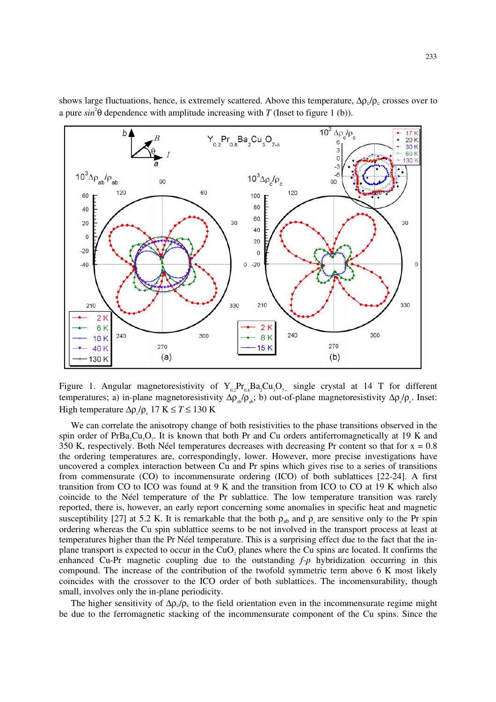

shows large fluctuations, hence, is extremely scattered. Above this temperature,  $\Delta \rho_c / \rho_c$  crosses over to a pure  $sin^2\theta$  dependence with amplitude increasing with *T* (Inset to figure 1 (b)).

Figure 1. Angular magnetoresistivity of  $Y_{0.2}Pr_{0.8}Ba_2Cu_3O_{7-}$  single crystal at 14 T for different temperatures; a) in-plane magnetoresistivity  $\Delta \rho_{ab}/\rho_{ab}$ ; b) out-of-plane magnetoresistivity  $\Delta \rho_c/\rho_c$ . Inset: High temperature  $Δρ<sub>c</sub>/ρ<sub>c</sub>$  17 K ≤ *T* ≤ 130 K

We can correlate the anisotropy change of both resistivities to the phase transitions observed in the spin order of PrBa<sub>2</sub>Cu<sub>3</sub>O<sub>7</sub>. It is known that both Pr and Cu orders antiferromagnetically at 19 K and 350 K, respectively. Both Néel temperatures decreases with decreasing Pr content so that for  $x = 0.8$ the ordering temperatures are, correspondingly, lower. However, more precise investigations have uncovered a complex interaction between Cu and Pr spins which gives rise to a series of transitions from commensurate (CO) to incommensurate ordering (ICO) of both sublattices [22-24]. A first transition from CO to ICO was found at 9 K and the transition from ICO to CO at 19 K which also coincide to the Néel temperature of the Pr sublattice. The low temperature transition was rarely reported, there is, however, an early report concerning some anomalies in specific heat and magnetic susceptibility [27] at 5.2 K. It is remarkable that the both  $\rho_{ab}$  and  $\rho_{c}$  are sensitive only to the Pr spin ordering whereas the Cu spin sublattice seems to be not involved in the transport process at least at temperatures higher than the Pr Néel temperature. This is a surprising effect due to the fact that the inplane transport is expected to occur in the  $CuO<sub>2</sub>$  planes where the Cu spins are located. It confirms the enhanced Cu-Pr magnetic coupling due to the outstanding *f-p* hybridization occurring in this compound. The increase of the contribution of the twofold symmetric term above 6 K most likely coincides with the crossover to the ICO order of both sublattices. The incomensurability, though small, involves only the in-plane periodicity.

The higher sensitivity of  $\Delta \rho_c / \rho_c$  to the field orientation even in the incommensurate regime might be due to the ferromagnetic stacking of the incommensurate component of the Cu spins. Since the